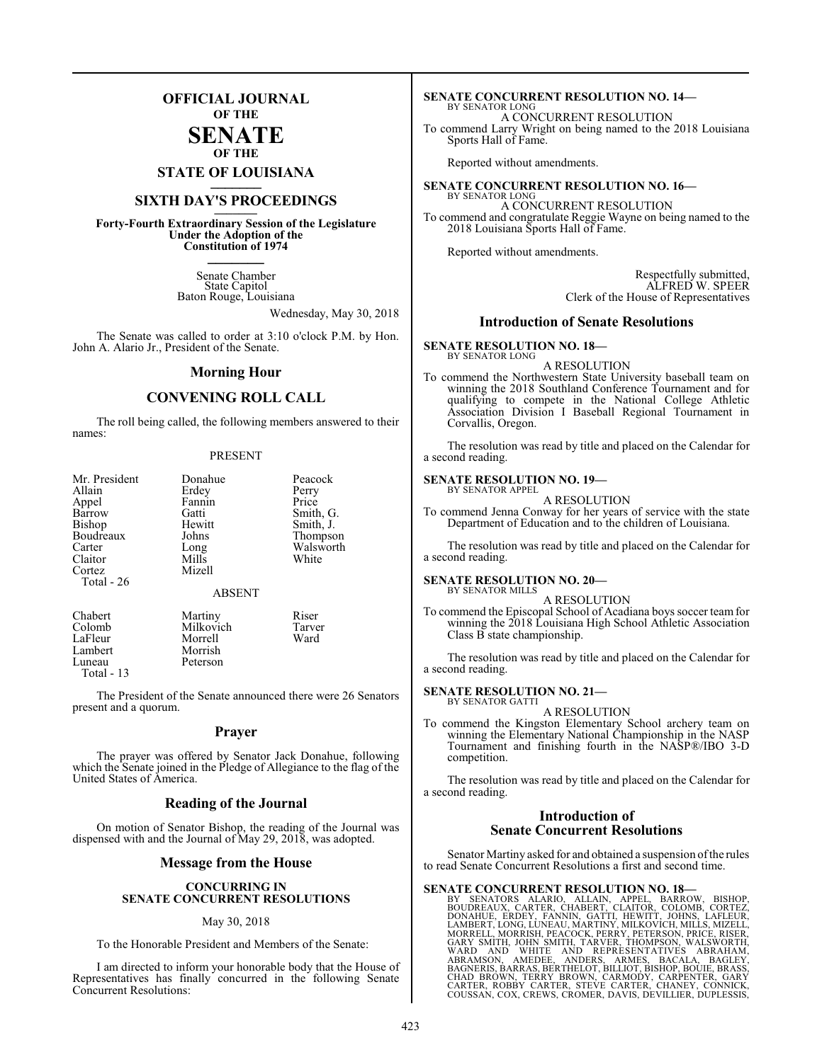## **OFFICIAL JOURNAL OF THE**

#### **SENATE OF THE**

**STATE OF LOUISIANA \_\_\_\_\_\_\_**

## **SIXTH DAY'S PROCEEDINGS \_\_\_\_\_\_\_**

**Forty-Fourth Extraordinary Session of the Legislature Under the Adoption of the Constitution of 1974 \_\_\_\_\_\_\_**

> Senate Chamber State Capitol Baton Rouge, Louisiana

> > Wednesday, May 30, 2018

The Senate was called to order at 3:10 o'clock P.M. by Hon. John A. Alario Jr., President of the Senate.

#### **Morning Hour**

#### **CONVENING ROLL CALL**

The roll being called, the following members answered to their names:

#### PRESENT

| Mr. President<br>Allain<br>Appel<br>Barrow<br>Bishop<br>Boudreaux<br>Carter<br>Claitor<br>Cortez<br>Total - 26 | Donahue<br>Erdey<br>Fannin<br>Gatti<br>Hewitt<br>Johns<br>Long<br>Mills<br>Mizell<br><b>ABSENT</b> | Peacock<br>Perry<br>Price<br>Smith, G.<br>Smith, J.<br>Thompson<br>Walsworth<br>White |
|----------------------------------------------------------------------------------------------------------------|----------------------------------------------------------------------------------------------------|---------------------------------------------------------------------------------------|
|                                                                                                                |                                                                                                    |                                                                                       |

Chabert Martiny Riser Milkovich Tarve<br>
Morrell Ward LaFleur Morrell<br>Lambert Morrish Lambert Morrish<br>Luneau Peterson Luneau Total - 13

The President of the Senate announced there were 26 Senators present and a quorum.

#### **Prayer**

The prayer was offered by Senator Jack Donahue, following which the Senate joined in the Pledge of Allegiance to the flag of the United States of America.

#### **Reading of the Journal**

On motion of Senator Bishop, the reading of the Journal was dispensed with and the Journal of May 29, 2018, was adopted.

#### **Message from the House**

#### **CONCURRING IN SENATE CONCURRENT RESOLUTIONS**

#### May 30, 2018

To the Honorable President and Members of the Senate:

I am directed to inform your honorable body that the House of Representatives has finally concurred in the following Senate Concurrent Resolutions:

#### **SENATE CONCURRENT RESOLUTION NO. 14—** BY SENATOR LONG

A CONCURRENT RESOLUTION

To commend Larry Wright on being named to the 2018 Louisiana Sports Hall of Fame.

Reported without amendments.

#### **SENATE CONCURRENT RESOLUTION NO. 16—** BY SENATOR LONG

A CONCURRENT RESOLUTION To commend and congratulate Reggie Wayne on being named to the 2018 Louisiana Sports Hall of Fame.

Reported without amendments.

Respectfully submitted, ALFRED W. SPEER Clerk of the House of Representatives

#### **Introduction of Senate Resolutions**

#### **SENATE RESOLUTION NO. 18—**

BY SENATOR LONG A RESOLUTION

To commend the Northwestern State University baseball team on winning the 2018 Southland Conference Tournament and for qualifying to compete in the National College Athletic Association Division I Baseball Regional Tournament in Corvallis, Oregon.

The resolution was read by title and placed on the Calendar for a second reading.

#### **SENATE RESOLUTION NO. 19—**

BY SENATOR APPEL A RESOLUTION

To commend Jenna Conway for her years of service with the state Department of Education and to the children of Louisiana.

The resolution was read by title and placed on the Calendar for a second reading.

#### **SENATE RESOLUTION NO. 20—** BY SENATOR MILLS

A RESOLUTION

To commend the Episcopal School of Acadiana boys soccer team for winning the 2018 Louisiana High School Athletic Association Class B state championship.

The resolution was read by title and placed on the Calendar for a second reading.

#### **SENATE RESOLUTION NO. 21—** BY SENATOR GATTI

A RESOLUTION

To commend the Kingston Elementary School archery team on winning the Elementary National Championship in the NASP Tournament and finishing fourth in the NASP®/IBO 3-D competition.

The resolution was read by title and placed on the Calendar for a second reading.

#### **Introduction of Senate Concurrent Resolutions**

Senator Martiny asked for and obtained a suspension ofthe rules to read Senate Concurrent Resolutions a first and second time.

SENATE CONCURRENT RESOLUTION NO. 18-87 SENATORS ALARION, APPEL, BARROW, BUSINDERAUX, CARTER, CHABERT, CLAITOR, COLOMB, CORTEZ, DONAHUE, ERDEY, FANNIN, GATTI, HEWITT, JOHNS, LAFLEUR, LAMBERT, LONG, LUNEAU, MARTINY, MILLES,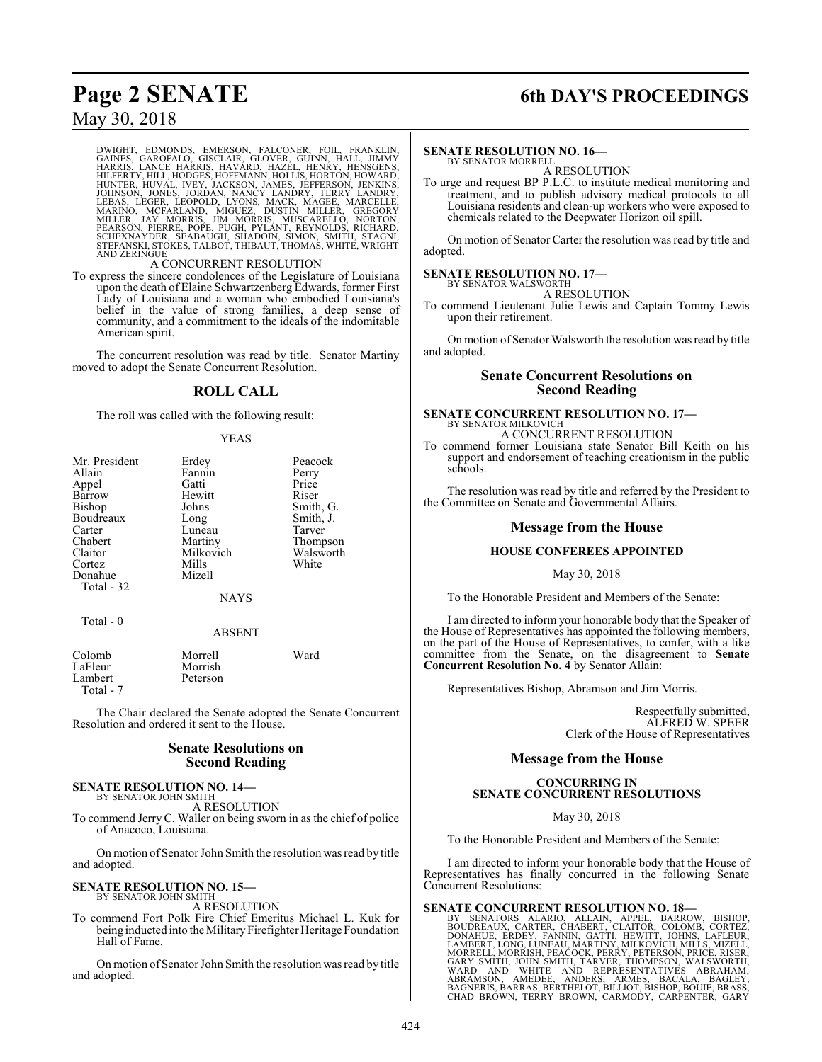## **Page 2 SENATE 6th DAY'S PROCEEDINGS**

## May 30, 2018

DWIGHT, EDMONDS, EMERSON, FALCONER, FOIL, FRANKLIN,<br>GAINES, GAROFALO, GISCLAIR, GLOVER, GUINN, HALL, JIMMY<br>HARRIS, LANCE HARRIS, HAVARD, HAZEL, HENRY, HENSGENS,<br>HILFERTY,HILL,HODGES,HOFFMANN,HOLLIS,HORTON,JENNORD,<br>HUNTER,H

#### A CONCURRENT RESOLUTION

To express the sincere condolences of the Legislature of Louisiana upon the death of Elaine Schwartzenberg Edwards, former First Lady of Louisiana and a woman who embodied Louisiana's belief in the value of strong families, a deep sense of community, and a commitment to the ideals of the indomitable American spirit.

The concurrent resolution was read by title. Senator Martiny moved to adopt the Senate Concurrent Resolution.

#### **ROLL CALL**

The roll was called with the following result:

#### YEAS

| Mr. President | Erdey         | Peacock   |
|---------------|---------------|-----------|
| Allain        | Fannin        | Perry     |
| Appel         | Gatti         | Price     |
| Barrow        | Hewitt        | Riser     |
| Bishop        | Johns         | Smith, G. |
| Boudreaux     | Long          | Smith, J. |
| Carter        | Luneau        | Tarver    |
| Chabert       | Martiny       | Thompson  |
| Claitor       | Milkovich     | Walsworth |
| Cortez        | Mills         | White     |
| Donahue       | Mizell        |           |
| Total - 32    |               |           |
|               | <b>NAYS</b>   |           |
| Total - 0     |               |           |
|               | <b>ABSENT</b> |           |
| Colomb        | Morrell       | Ward      |
| LaFleur       | Morrish       |           |
| Lambert       | Peterson      |           |

The Chair declared the Senate adopted the Senate Concurrent Resolution and ordered it sent to the House.

#### **Senate Resolutions on Second Reading**

## **SENATE RESOLUTION NO. 14—**

Total - 7

BY SENATOR JOHN SMITH A RESOLUTION

To commend Jerry C. Waller on being sworn in as the chief of police of Anacoco, Louisiana.

On motion of Senator John Smith the resolution was read by title and adopted.

#### **SENATE RESOLUTION NO. 15—** BY SENATOR JOHN SMITH

A RESOLUTION To commend Fort Polk Fire Chief Emeritus Michael L. Kuk for being inducted into the Military Firefighter Heritage Foundation Hall of Fame.

On motion of Senator John Smith the resolution was read by title and adopted.

#### **SENATE RESOLUTION NO. 16—**

BY SENATOR MORRELL A RESOLUTION

To urge and request BP P.L.C. to institute medical monitoring and treatment, and to publish advisory medical protocols to all Louisiana residents and clean-up workers who were exposed to chemicals related to the Deepwater Horizon oil spill.

On motion of Senator Carter the resolution was read by title and adopted.

## **SENATE RESOLUTION NO. 17—** BY SENATOR WALSWORTH

A RESOLUTION

To commend Lieutenant Julie Lewis and Captain Tommy Lewis upon their retirement.

On motion of Senator Walsworth the resolution was read by title and adopted.

#### **Senate Concurrent Resolutions on Second Reading**

# **SENATE CONCURRENT RESOLUTION NO. 17—** BY SENATOR MILKOVICH

A CONCURRENT RESOLUTION

To commend former Louisiana state Senator Bill Keith on his support and endorsement of teaching creationism in the public schools.

The resolution was read by title and referred by the President to the Committee on Senate and Governmental Affairs.

#### **Message from the House**

#### **HOUSE CONFEREES APPOINTED**

#### May 30, 2018

To the Honorable President and Members of the Senate:

I am directed to inform your honorable body that the Speaker of the House of Representatives has appointed the following members, on the part of the House of Representatives, to confer, with a like committee from the Senate, on the disagreement to **Senate Concurrent Resolution No. 4** by Senator Allain:

Representatives Bishop, Abramson and Jim Morris.

Respectfully submitted, ALFRED W. SPEER Clerk of the House of Representatives

#### **Message from the House**

#### **CONCURRING IN SENATE CONCURRENT RESOLUTIONS**

May 30, 2018

To the Honorable President and Members of the Senate:

I am directed to inform your honorable body that the House of Representatives has finally concurred in the following Senate Concurrent Resolutions:

SENATE CONCURRENT RESOLUTION NO. 18-<br>BY SENATORS ALARIO, ALLAIN, APPEL, BARROW, BISHOP,<br>BOUDREAUX, CARTER, CHABERT, CLAITOR, COLOMB, CORTEZ,<br>DONAHUE, ERDEY, FANNIN, GATTI, HEWITT, JOHNS, LAFLEUR,<br>LAMBERT, LONG, LUNEAU, MAR CHAD BRÓWN, TERRY BROWN, CARMODY, CARPENTER, GARY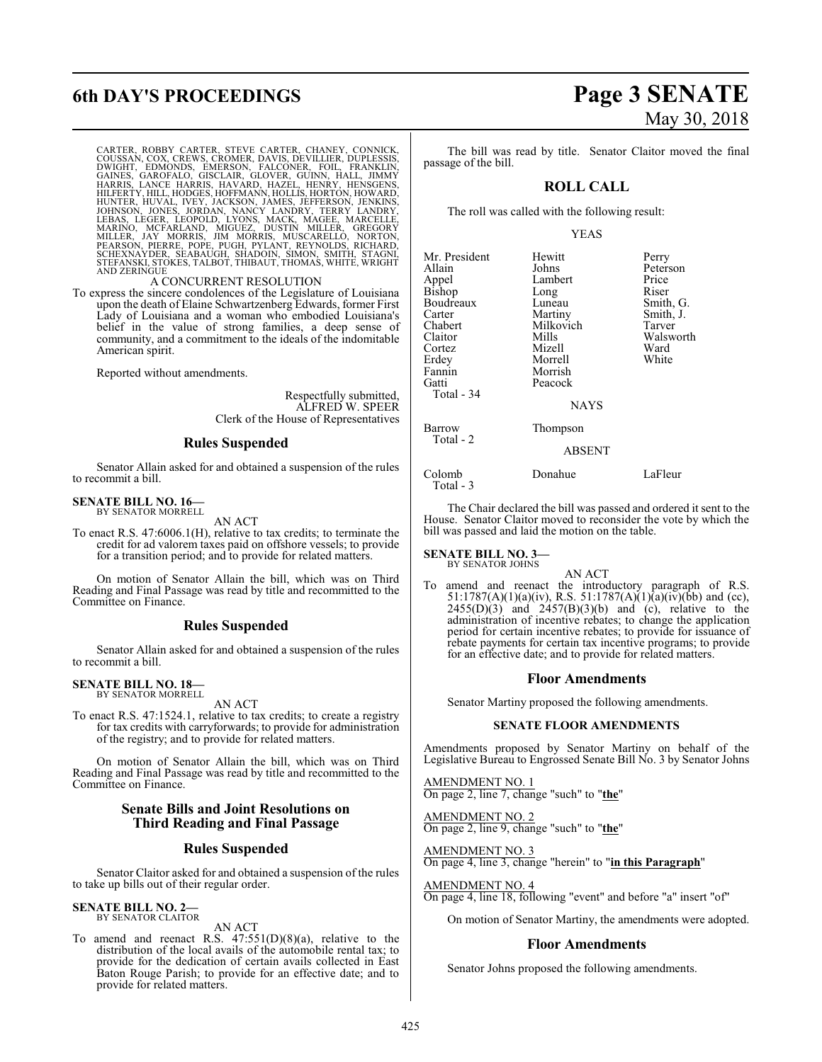# **6th DAY'S PROCEEDINGS Page 3 SENATE**

CARTER, ROBBY CARTER, STEVE CARTER, CHANEY, CONNICK,<br>COUSSAN, COX, CREWS, CROMER, DAVIS, DEVILLIER, DUPLESSIS,<br>DWIGHT, EDMONDS, EMERSON, FALCONER, FOIL, FRANKLIN,<br>GANES, GAROFALO, GISCLAIR, GLOVER, GUINN, HALL, JIMMY<br>HARRI AND ZERINGUE

#### A CONCURRENT RESOLUTION

To express the sincere condolences of the Legislature of Louisiana upon the death of Elaine Schwartzenberg Edwards, former First Lady of Louisiana and a woman who embodied Louisiana's belief in the value of strong families, a deep sense of community, and a commitment to the ideals of the indomitable American spirit.

Reported without amendments.

Respectfully submitted, ALFRED W. SPEER Clerk of the House of Representatives

#### **Rules Suspended**

Senator Allain asked for and obtained a suspension of the rules to recommit a bill.

## **SENATE BILL NO. 16—** BY SENATOR MORRELL

AN ACT

To enact R.S. 47:6006.1(H), relative to tax credits; to terminate the credit for ad valorem taxes paid on offshore vessels; to provide for a transition period; and to provide for related matters.

On motion of Senator Allain the bill, which was on Third Reading and Final Passage was read by title and recommitted to the Committee on Finance.

#### **Rules Suspended**

Senator Allain asked for and obtained a suspension of the rules to recommit a bill.

#### **SENATE BILL NO. 18—** BY SENATOR MORRELL

AN ACT

To enact R.S. 47:1524.1, relative to tax credits; to create a registry for tax credits with carryforwards; to provide for administration of the registry; and to provide for related matters.

On motion of Senator Allain the bill, which was on Third Reading and Final Passage was read by title and recommitted to the Committee on Finance.

#### **Senate Bills and Joint Resolutions on Third Reading and Final Passage**

#### **Rules Suspended**

Senator Claitor asked for and obtained a suspension of the rules to take up bills out of their regular order.

#### **SENATE BILL NO. 2—** BY SENATOR CLAITOR

AN ACT

To amend and reenact R.S. 47:551(D)(8)(a), relative to the distribution of the local avails of the automobile rental tax; to provide for the dedication of certain avails collected in East Baton Rouge Parish; to provide for an effective date; and to provide for related matters.

# May 30, 2018

The bill was read by title. Senator Claitor moved the final passage of the bill.

#### **ROLL CALL**

The roll was called with the following result:

#### YEAS

| Mr. President<br>Allain<br>Appel<br>Bishop<br>Boudreaux<br>Carter<br>Chabert<br>Claitor<br>Cortez<br>Erdey<br>Fannin<br>Gatti<br>Total - 34 | Hewitt<br>Johns<br>Lambert<br>Long<br>Luneau<br>Martiny<br>Milkovich<br>Mills<br>Mizell<br>Morrell<br>Morrish<br>Peacock<br><b>NAYS</b> | Perry<br>Peterson<br>Price<br>Riser<br>Smith, G.<br>Smith, J.<br>Tarver<br>Walsworth<br>Ward<br>White |
|---------------------------------------------------------------------------------------------------------------------------------------------|-----------------------------------------------------------------------------------------------------------------------------------------|-------------------------------------------------------------------------------------------------------|
| Barrow<br>Total - 2                                                                                                                         | Thompson<br><b>ABSENT</b>                                                                                                               |                                                                                                       |
| Colomb<br>Total $-3$                                                                                                                        | Donahue                                                                                                                                 | LaFleur                                                                                               |

The Chair declared the bill was passed and ordered it sent to the House. Senator Claitor moved to reconsider the vote by which the bill was passed and laid the motion on the table.

#### **SENATE BILL NO. 3—** BY SENATOR JOHNS

AN ACT

To amend and reenact the introductory paragraph of R.S. 51:1787(A)(1)(a)(iv), R.S. 51:1787(A)(1)(a)(iv)(bb) and (cc),  $2455(D)(3)$  and  $2457(B)(3)(b)$  and (c), relative to the administration of incentive rebates; to change the application period for certain incentive rebates; to provide for issuance of rebate payments for certain tax incentive programs; to provide for an effective date; and to provide for related matters.

#### **Floor Amendments**

Senator Martiny proposed the following amendments.

#### **SENATE FLOOR AMENDMENTS**

Amendments proposed by Senator Martiny on behalf of the Legislative Bureau to Engrossed Senate Bill No. 3 by Senator Johns

AMENDMENT NO. 1 On page 2, line 7, change "such" to "**the**"

AMENDMENT NO. 2 On page 2, line 9, change "such" to "**the**"

AMENDMENT NO. 3 On page 4, line 3, change "herein" to "**in this Paragraph**"

AMENDMENT NO. 4

On page 4, line 18, following "event" and before "a" insert "of"

On motion of Senator Martiny, the amendments were adopted.

#### **Floor Amendments**

Senator Johns proposed the following amendments.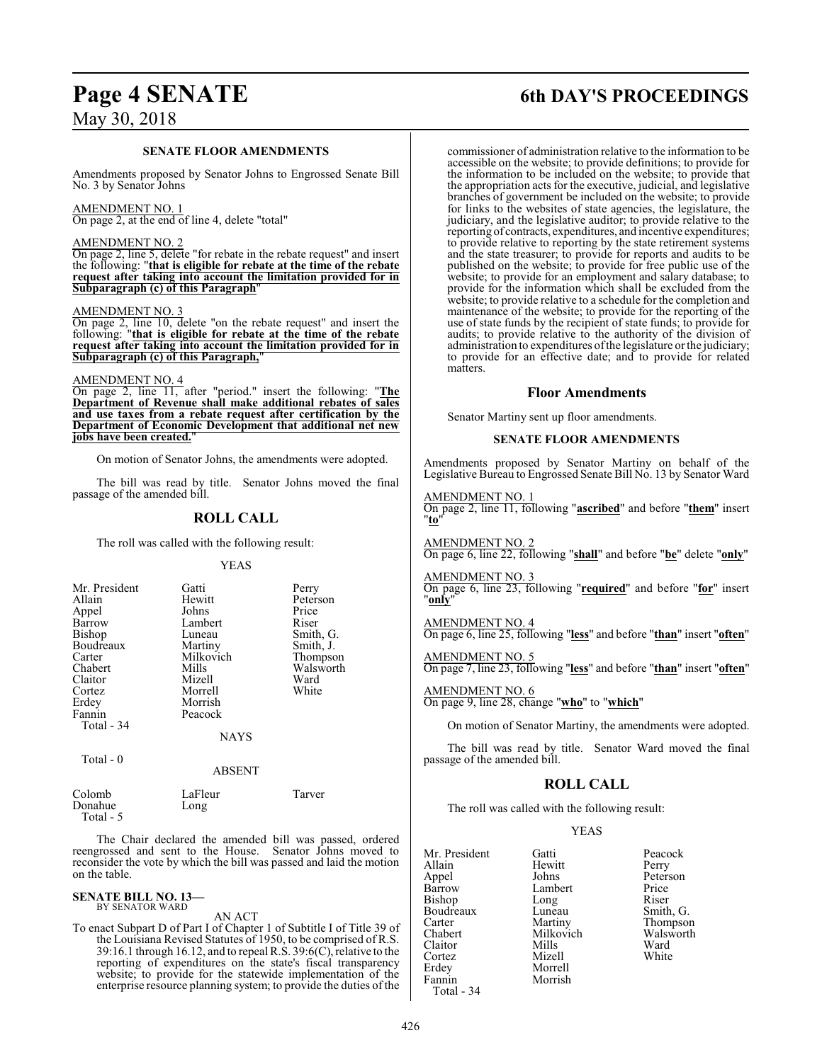# May 30, 2018

#### **SENATE FLOOR AMENDMENTS**

Amendments proposed by Senator Johns to Engrossed Senate Bill No. 3 by Senator Johns

#### AMENDMENT NO. 1

On page 2, at the end of line 4, delete "total"

#### AMENDMENT NO. 2

On page 2, line 5, delete "for rebate in the rebate request" and insert the following: "**that is eligible for rebate at the time of the rebate request after taking into account the limitation provided for in Subparagraph (c) of this Paragraph**"

#### AMENDMENT NO. 3

On page 2, line 10, delete "on the rebate request" and insert the following: "**that is eligible for rebate at the time of the rebate request after taking into account the limitation provided for in Subparagraph (c) of this Paragraph,**"

#### AMENDMENT NO. 4

On page 2, line 11, after "period." insert the following: "**The Department of Revenue shall make additional rebates of sales and use taxes from a rebate request after certification by the Department of Economic Development that additional net new jobs have been created.**"

On motion of Senator Johns, the amendments were adopted.

The bill was read by title. Senator Johns moved the final passage of the amended bill.

### **ROLL CALL**

The roll was called with the following result:

#### YEAS

| Gatti<br>Hewitt<br>Johns<br>Lambert<br>Luneau<br>Martiny<br>Milkovich<br>Mills<br>Mizell<br>Morrell<br>Morrish<br>Peacock | Perry<br>Peterson<br>Price<br>Riser<br>Smith, G.<br>Smith, J.<br>Thompson<br>Walsworth<br>Ward<br>White |
|---------------------------------------------------------------------------------------------------------------------------|---------------------------------------------------------------------------------------------------------|
| <b>NAYS</b>                                                                                                               |                                                                                                         |
|                                                                                                                           |                                                                                                         |

Total - 0

ABSENT

| Colomb    | LaFleur | Tarver |  |
|-----------|---------|--------|--|
| Donahue   | Long    |        |  |
| Total - 5 |         |        |  |

The Chair declared the amended bill was passed, ordered reengrossed and sent to the House. Senator Johns moved to reconsider the vote by which the bill was passed and laid the motion on the table.

## **SENATE BILL NO. 13—**<br>BY SENATOR WARD

#### AN ACT

To enact Subpart D of Part I of Chapter 1 of Subtitle I of Title 39 of the Louisiana Revised Statutes of 1950, to be comprised of R.S. 39:16.1 through 16.12, and to repeal R.S.  $39:6(C)$ , relative to the reporting of expenditures on the state's fiscal transparency website; to provide for the statewide implementation of the enterprise resource planning system; to provide the duties of the

## **Page 4 SENATE 6th DAY'S PROCEEDINGS**

commissioner of administration relative to the information to be accessible on the website; to provide definitions; to provide for the information to be included on the website; to provide that the appropriation acts for the executive, judicial, and legislative branches of government be included on the website; to provide for links to the websites of state agencies, the legislature, the judiciary, and the legislative auditor; to provide relative to the reporting of contracts, expenditures, and incentive expenditures; to provide relative to reporting by the state retirement systems and the state treasurer; to provide for reports and audits to be published on the website; to provide for free public use of the website; to provide for an employment and salary database; to provide for the information which shall be excluded from the website; to provide relative to a schedule for the completion and maintenance of the website; to provide for the reporting of the use of state funds by the recipient of state funds; to provide for audits; to provide relative to the authority of the division of administration to expenditures ofthe legislature or the judiciary; to provide for an effective date; and to provide for related matters.

#### **Floor Amendments**

Senator Martiny sent up floor amendments.

#### **SENATE FLOOR AMENDMENTS**

Amendments proposed by Senator Martiny on behalf of the Legislative Bureau to Engrossed Senate Bill No. 13 by Senator Ward

#### AMENDMENT NO. 1

On page 2, line 11, following "**ascribed**" and before "**them**" insert "**to**"

AMENDMENT NO. 2 On page 6, line 22, following "**shall**" and before "**be**" delete "**only**"

AMENDMENT NO. 3

On page 6, line 23, following "**required**" and before "**for**" insert "**only**"

## AMENDMENT NO. 4

On page 6, line 25, following "**less**" and before "**than**" insert "**often**"

#### AMENDMENT NO. 5

On page 7, line 23, following "**less**" and before "**than**" insert "**often**"

### AMENDMENT NO. 6

On page 9, line 28, change "**who**" to "**which**"

On motion of Senator Martiny, the amendments were adopted.

The bill was read by title. Senator Ward moved the final passage of the amended bill.

#### **ROLL CALL**

The roll was called with the following result:

#### YEAS

| Mr. President | Gatti     | Peacock  |
|---------------|-----------|----------|
| Allain        | Hewitt    | Perry    |
| Appel         | Johns     | Peterson |
| Barrow        | Lambert   | Price    |
| Bishop        | Long      | Riser    |
| Boudreaux     | Luneau    | Smith, G |
| Carter        | Martiny   | Thompso  |
| Chabert       | Milkovich | Walswor  |
| Claitor       | Mills     | Ward     |
| Cortez        | Mizell    | White    |
| Erdey         | Morrell   |          |
| Fannin        | Morrish   |          |
| Total - 34    |           |          |

Smith, G. Thompson Walsworth<br>Ward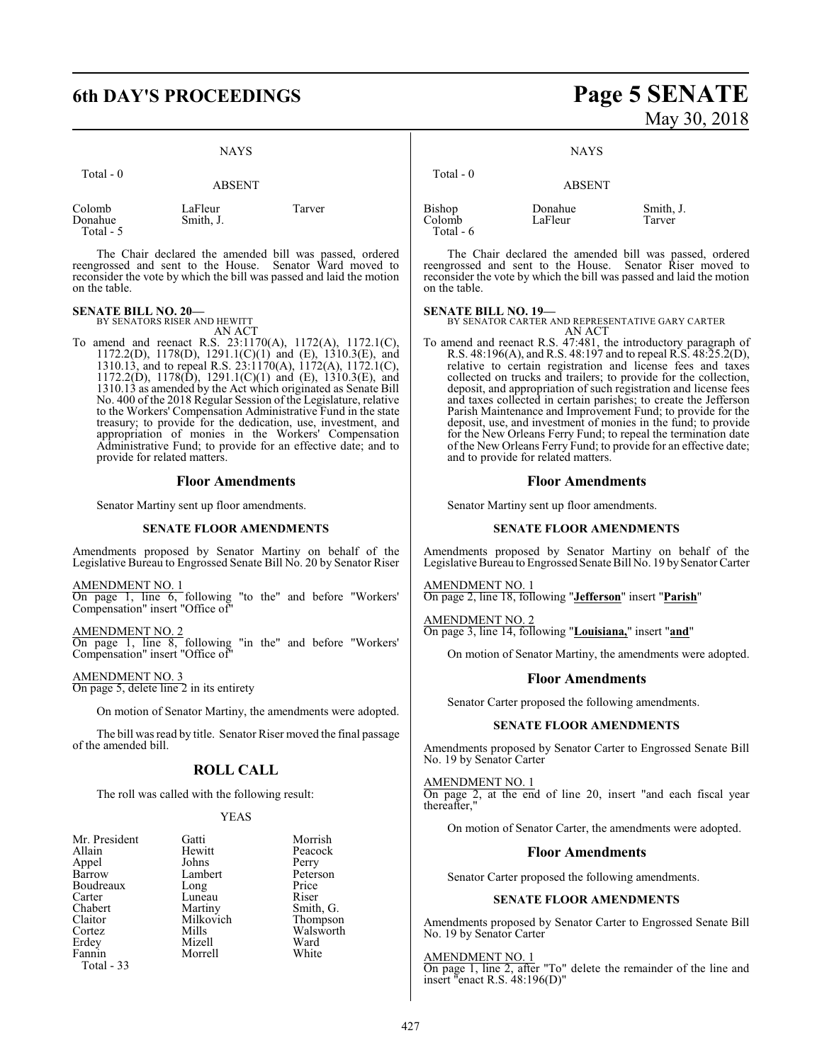## **6th DAY'S PROCEEDINGS Page 5 SENATE**

#### NAYS

| Total - 0                      | <b>ABSENT</b>        |        |
|--------------------------------|----------------------|--------|
| Colomb<br>Donahue<br>Total - 5 | LaFleur<br>Smith, J. | Tarver |

The Chair declared the amended bill was passed, ordered reengrossed and sent to the House. Senator Ward moved to reconsider the vote by which the bill was passed and laid the motion on the table.

#### **SENATE BILL NO. 20—**

BY SENATORS RISER AND HEWITT AN ACT

To amend and reenact R.S. 23:1170(A), 1172(A), 1172.1(C), 1172.2(D), 1178(D), 1291.1(C)(1) and (E), 1310.3(E), and 1310.13, and to repeal R.S. 23:1170(A), 1172(A), 1172.1(C), 1172.2(D), 1178(D), 1291.1(C)(1) and (E), 1310.3(E), and 1310.13 as amended by the Act which originated as Senate Bill No. 400 of the 2018 Regular Session of the Legislature, relative to the Workers' Compensation Administrative Fund in the state treasury; to provide for the dedication, use, investment, and appropriation of monies in the Workers' Compensation Administrative Fund; to provide for an effective date; and to provide for related matters.

#### **Floor Amendments**

Senator Martiny sent up floor amendments.

#### **SENATE FLOOR AMENDMENTS**

Amendments proposed by Senator Martiny on behalf of the Legislative Bureau to Engrossed Senate Bill No. 20 by Senator Riser

AMENDMENT NO. 1 On page 1, line 6, following "to the" and before "Workers' Compensation" insert "Office of"

AMENDMENT NO. 2 On page 1, line 8, following "in the" and before "Workers' Compensation" insert "Office of"

AMENDMENT NO. 3 On page 5, delete line 2 in its entirety

On motion of Senator Martiny, the amendments were adopted.

The bill was read by title. Senator Riser moved the final passage of the amended bill.

#### **ROLL CALL**

The roll was called with the following result:

#### YEAS

| Mr. President | Gatti     | Morrish   |
|---------------|-----------|-----------|
| Allain        | Hewitt    | Peacock   |
| Appel         | Johns     | Perry     |
| Barrow        | Lambert   | Peterson  |
| Boudreaux     | Long      | Price     |
| Carter        | Luneau    | Riser     |
| Chabert       | Martiny   | Smith, G. |
| Claitor       | Milkovich | Thompson  |
| Cortez        | Mills     | Walsworth |
| Erdey         | Mizell    | Ward      |
| Fannin        | Morrell   | White     |
| Total - 33    |           |           |

# May 30, 2018

**NAYS** 

| Total $-0$                     | <b>ABSENT</b>      |                     |
|--------------------------------|--------------------|---------------------|
| Bishop<br>Colomb<br>Total $-6$ | Donahue<br>LaFleur | Smith, J.<br>Tarver |

The Chair declared the amended bill was passed, ordered reengrossed and sent to the House. Senator Riser moved to reconsider the vote by which the bill was passed and laid the motion on the table.

#### **SENATE BILL NO. 19—**

BY SENATOR CARTER AND REPRESENTATIVE GARY CARTER AN ACT

To amend and reenact R.S. 47:481, the introductory paragraph of R.S. 48:196(A), and R.S. 48:197 and to repeal R.S. 48:25.2(D), relative to certain registration and license fees and taxes collected on trucks and trailers; to provide for the collection, deposit, and appropriation of such registration and license fees and taxes collected in certain parishes; to create the Jefferson Parish Maintenance and Improvement Fund; to provide for the deposit, use, and investment of monies in the fund; to provide for the New Orleans Ferry Fund; to repeal the termination date of the New Orleans Ferry Fund; to provide for an effective date; and to provide for related matters.

#### **Floor Amendments**

Senator Martiny sent up floor amendments.

#### **SENATE FLOOR AMENDMENTS**

Amendments proposed by Senator Martiny on behalf of the Legislative Bureau to Engrossed Senate Bill No. 19 by Senator Carter

AMENDMENT NO. 1 On page 2, line 18, following "**Jefferson**" insert "**Parish**"

AMENDMENT NO. 2 On page 3, line 14, following "**Louisiana,**" insert "**and**"

On motion of Senator Martiny, the amendments were adopted.

#### **Floor Amendments**

Senator Carter proposed the following amendments.

#### **SENATE FLOOR AMENDMENTS**

Amendments proposed by Senator Carter to Engrossed Senate Bill No. 19 by Senator Carter

AMENDMENT NO. 1

On page 2, at the end of line 20, insert "and each fiscal year thereafter,"

On motion of Senator Carter, the amendments were adopted.

#### **Floor Amendments**

Senator Carter proposed the following amendments.

#### **SENATE FLOOR AMENDMENTS**

Amendments proposed by Senator Carter to Engrossed Senate Bill No. 19 by Senator Carter

#### AMENDMENT NO. 1

On page 1, line 2, after "To" delete the remainder of the line and insert "enact R.S. 48:196(D)"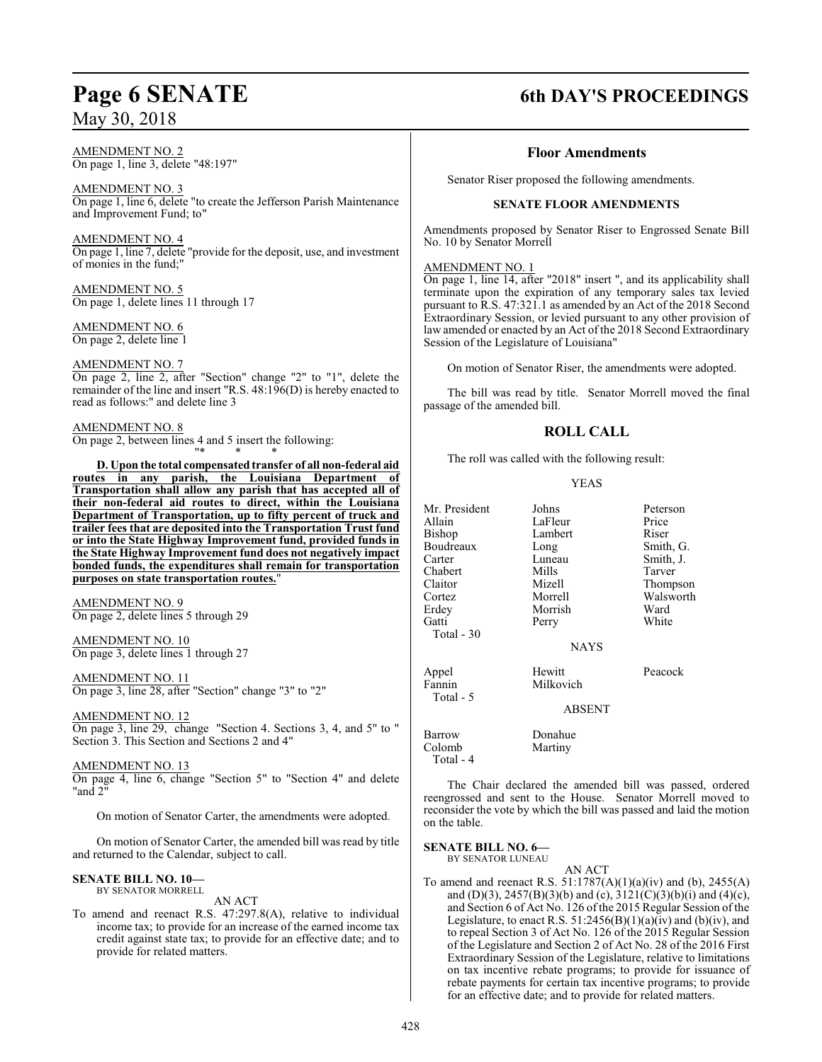## May 30, 2018

AMENDMENT NO. 2 On page 1, line 3, delete "48:197"

AMENDMENT NO. 3 On page 1, line 6, delete "to create the Jefferson Parish Maintenance and Improvement Fund; to"

AMENDMENT NO. 4 On page 1, line 7, delete "provide for the deposit, use, and investment of monies in the fund;"

AMENDMENT NO. 5 On page 1, delete lines 11 through 17

AMENDMENT NO. 6 On page 2, delete line 1

#### AMENDMENT NO. 7

On page 2, line 2, after "Section" change "2" to "1", delete the remainder of the line and insert "R.S. 48:196(D) is hereby enacted to read as follows:" and delete line 3

#### AMENDMENT NO. 8

On page 2, between lines 4 and 5 insert the following: "\* \* \*

**D. Upon the total compensated transfer of all non-federal aid routes in any parish, the Louisiana Department of Transportation shall allow any parish that has accepted all of their non-federal aid routes to direct, within the Louisiana Department of Transportation, up to fifty percent of truck and trailer fees that are deposited into the Transportation Trust fund or into the State Highway Improvement fund, provided funds in the State Highway Improvement fund does not negatively impact bonded funds, the expenditures shall remain for transportation purposes on state transportation routes.**"

AMENDMENT NO. 9 On page 2, delete lines 5 through 29

#### AMENDMENT NO. 10 On page 3, delete lines 1 through 27

AMENDMENT NO. 11 On page 3, line 28, after "Section" change "3" to "2"

## AMENDMENT NO. 12

On page 3, line 29, change "Section 4. Sections 3, 4, and 5" to " Section 3. This Section and Sections 2 and 4"

#### AMENDMENT NO. 13

On page 4, line 6, change "Section 5" to "Section 4" and delete "and  $2$ "

On motion of Senator Carter, the amendments were adopted.

On motion of Senator Carter, the amended bill was read by title and returned to the Calendar, subject to call.

#### **SENATE BILL NO. 10—** BY SENATOR MORRELL

AN ACT

To amend and reenact R.S. 47:297.8(A), relative to individual income tax; to provide for an increase of the earned income tax credit against state tax; to provide for an effective date; and to provide for related matters.

## **Page 6 SENATE 6th DAY'S PROCEEDINGS**

#### **Floor Amendments**

Senator Riser proposed the following amendments.

#### **SENATE FLOOR AMENDMENTS**

Amendments proposed by Senator Riser to Engrossed Senate Bill No. 10 by Senator Morrell

#### AMENDMENT NO. 1

On page 1, line 14, after "2018" insert ", and its applicability shall terminate upon the expiration of any temporary sales tax levied pursuant to R.S. 47:321.1 as amended by an Act of the 2018 Second Extraordinary Session, or levied pursuant to any other provision of law amended or enacted by an Act of the 2018 Second Extraordinary Session of the Legislature of Louisiana"

On motion of Senator Riser, the amendments were adopted.

The bill was read by title. Senator Morrell moved the final passage of the amended bill.

## **ROLL CALL**

The roll was called with the following result:

#### YEAS

| Mr. President | Johns       | Peterson  |
|---------------|-------------|-----------|
| Allain        | LaFleur     | Price     |
| Bishop        | Lambert     | Riser     |
| Boudreaux     | Long        | Smith, G. |
| Carter        | Luneau      | Smith, J. |
| Chabert       | Mills       | Tarver    |
| Claitor       | Mizell      | Thompson  |
| Cortez        | Morrell     | Walsworth |
| Erdev         | Morrish     | Ward      |
| Gatti         | Perry       | White     |
| Total - 30    |             |           |
|               | <b>NAYS</b> |           |
| Appel         | Hewitt      | Peacock   |
| Fannin        | Milkovich   |           |
| Total - 5     |             |           |
|               | ABSENT      |           |
| Barrow        | Donahue     |           |
| Colomb        | Martiny     |           |
| Total - 4     |             |           |

The Chair declared the amended bill was passed, ordered reengrossed and sent to the House. Senator Morrell moved to reconsider the vote by which the bill was passed and laid the motion on the table.

**SENATE BILL NO. 6—** BY SENATOR LUNEAU

AN ACT

To amend and reenact R.S. 51:1787(A)(1)(a)(iv) and (b), 2455(A) and (D)(3),  $2457(B)(3)(b)$  and (c),  $3121(C)(3)(b)(i)$  and (4)(c), and Section 6 of Act No. 126 of the 2015 Regular Session of the Legislature, to enact R.S.  $51:2456(B)(1)(a)(iv)$  and (b)(iv), and to repeal Section 3 of Act No. 126 of the 2015 Regular Session of the Legislature and Section 2 of Act No. 28 of the 2016 First Extraordinary Session of the Legislature, relative to limitations on tax incentive rebate programs; to provide for issuance of rebate payments for certain tax incentive programs; to provide for an effective date; and to provide for related matters.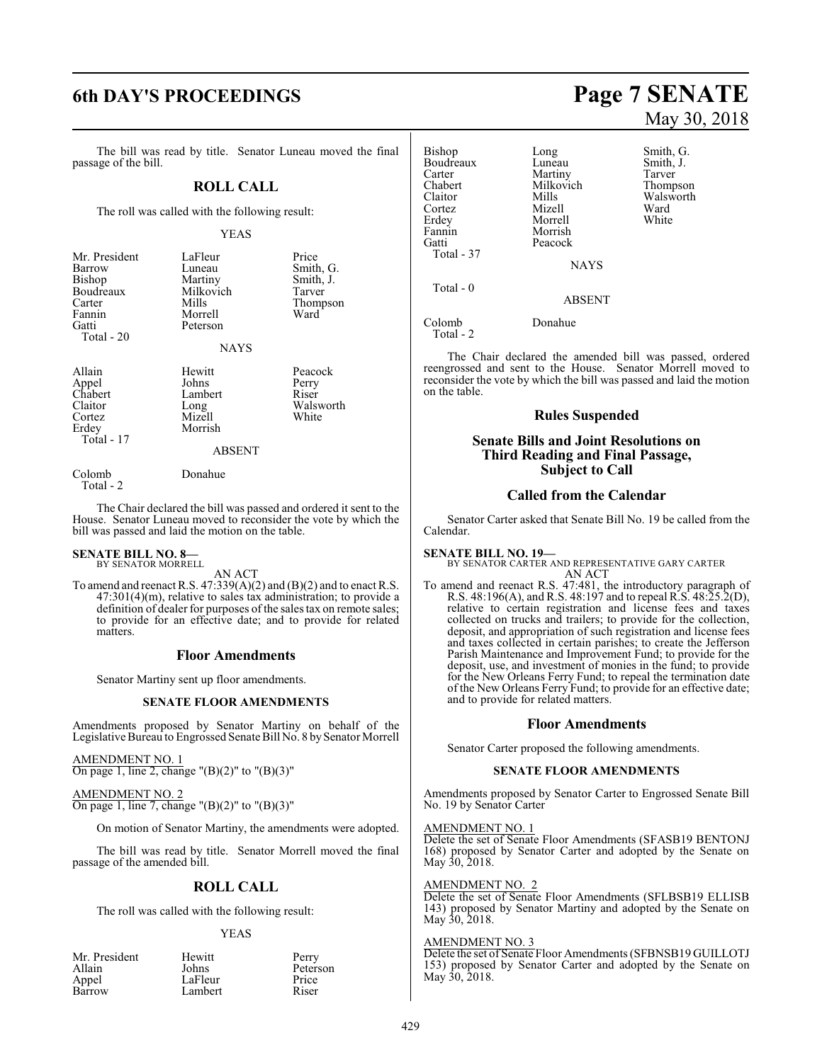# **6th DAY'S PROCEEDINGS Page 7 SENATE**

The bill was read by title. Senator Luneau moved the final passage of the bill.

#### **ROLL CALL**

The roll was called with the following result:

#### YEAS

| Mr. President<br>Barrow<br>Bishop<br>Boudreaux<br>Carter<br>Fannin<br>Gatti<br>Total - 20 | LaFleur<br>Luneau<br>Martiny<br>Milkovich<br>Mills<br>Morrell<br>Peterson<br><b>NAYS</b> | Price<br>Smith, G.<br>Smith, J.<br>Tarver<br>Thompson<br>Ward |
|-------------------------------------------------------------------------------------------|------------------------------------------------------------------------------------------|---------------------------------------------------------------|
|                                                                                           |                                                                                          |                                                               |

Allain Hewitt Peacock<br>
Appel Johns Perry Appel  $Johns$  Perry<br>Chabert Lambert Riser Chabert Lambert<br>Claitor Long Claitor Long Walsworth<br>
Cortez Mizell White<br>
White Cortez Mizell<br>Erdey Morris Total - 17

#### ABSENT

#### Colomb Donahue

Morrish

Total - 2

The Chair declared the bill was passed and ordered it sent to the House. Senator Luneau moved to reconsider the vote by which the bill was passed and laid the motion on the table.

## **SENATE BILL NO. 8—** BY SENATOR MORRELL

AN ACT

To amend and reenact R.S.  $47:339(A)(2)$  and  $(B)(2)$  and to enact R.S. 47:301(4)(m), relative to sales tax administration; to provide a definition of dealer for purposes of the sales tax on remote sales; to provide for an effective date; and to provide for related matters.

#### **Floor Amendments**

Senator Martiny sent up floor amendments.

#### **SENATE FLOOR AMENDMENTS**

Amendments proposed by Senator Martiny on behalf of the Legislative Bureau to Engrossed Senate Bill No. 8 by Senator Morrell

AMENDMENT NO. 1 On page 1, line 2, change " $(B)(2)$ " to " $(B)(3)$ "

AMENDMENT NO. 2 On page 1, line 7, change " $(B)(2)$ " to " $(B)(3)$ "

On motion of Senator Martiny, the amendments were adopted.

The bill was read by title. Senator Morrell moved the final passage of the amended bill.

#### **ROLL CALL**

The roll was called with the following result:

#### YEAS

| Mr. President | Hewitt  | Perry |
|---------------|---------|-------|
| Allain        | Johns   | Peter |
| Appel         | LaFleur | Price |
| Barrow        | Lambert | Riser |

Johns Peterson<br>LaFleur Price LaFleur Price<br>Lambert Riser Lambert

May 30, 2018

Bishop Long Smith, G.<br>Boudreaux Luneau Smith, J. Boudreaux Luneau Smith,<br>Carter Martiny Tarver Carter **Martiny** Tarver<br>
Chabert Milkovich Thompson Chabert Milkovich<br>Claitor Mills Claitor Mills Walsworth<br>
Cortez Mizell Ward Cortez Mizell Ward Morrell Fannin Morrish Peacock Total - 37 **NAYS**  Total - 0 ABSENT Colomb Donahue Total - 2

The Chair declared the amended bill was passed, ordered reengrossed and sent to the House. Senator Morrell moved to reconsider the vote by which the bill was passed and laid the motion on the table.

#### **Rules Suspended**

#### **Senate Bills and Joint Resolutions on Third Reading and Final Passage, Subject to Call**

#### **Called from the Calendar**

Senator Carter asked that Senate Bill No. 19 be called from the Calendar.

**SENATE BILL NO. 19—** BY SENATOR CARTER AND REPRESENTATIVE GARY CARTER AN ACT

To amend and reenact R.S. 47:481, the introductory paragraph of R.S. 48:196(A), and R.S. 48:197 and to repeal R.S. 48:25.2(D), relative to certain registration and license fees and taxes collected on trucks and trailers; to provide for the collection, deposit, and appropriation of such registration and license fees and taxes collected in certain parishes; to create the Jefferson Parish Maintenance and Improvement Fund; to provide for the deposit, use, and investment of monies in the fund; to provide for the New Orleans Ferry Fund; to repeal the termination date of the New Orleans Ferry Fund; to provide for an effective date; and to provide for related matters.

#### **Floor Amendments**

Senator Carter proposed the following amendments.

#### **SENATE FLOOR AMENDMENTS**

Amendments proposed by Senator Carter to Engrossed Senate Bill No. 19 by Senator Carter

#### AMENDMENT NO. 1

Delete the set of Senate Floor Amendments (SFASB19 BENTONJ 168) proposed by Senator Carter and adopted by the Senate on May 30, 2018.

#### AMENDMENT NO. 2

Delete the set of Senate Floor Amendments (SFLBSB19 ELLISB 143) proposed by Senator Martiny and adopted by the Senate on May 30, 2018.

#### AMENDMENT NO. 3

Delete the set of Senate Floor Amendments (SFBNSB19 GUILLOTJ 153) proposed by Senator Carter and adopted by the Senate on May 30, 2018.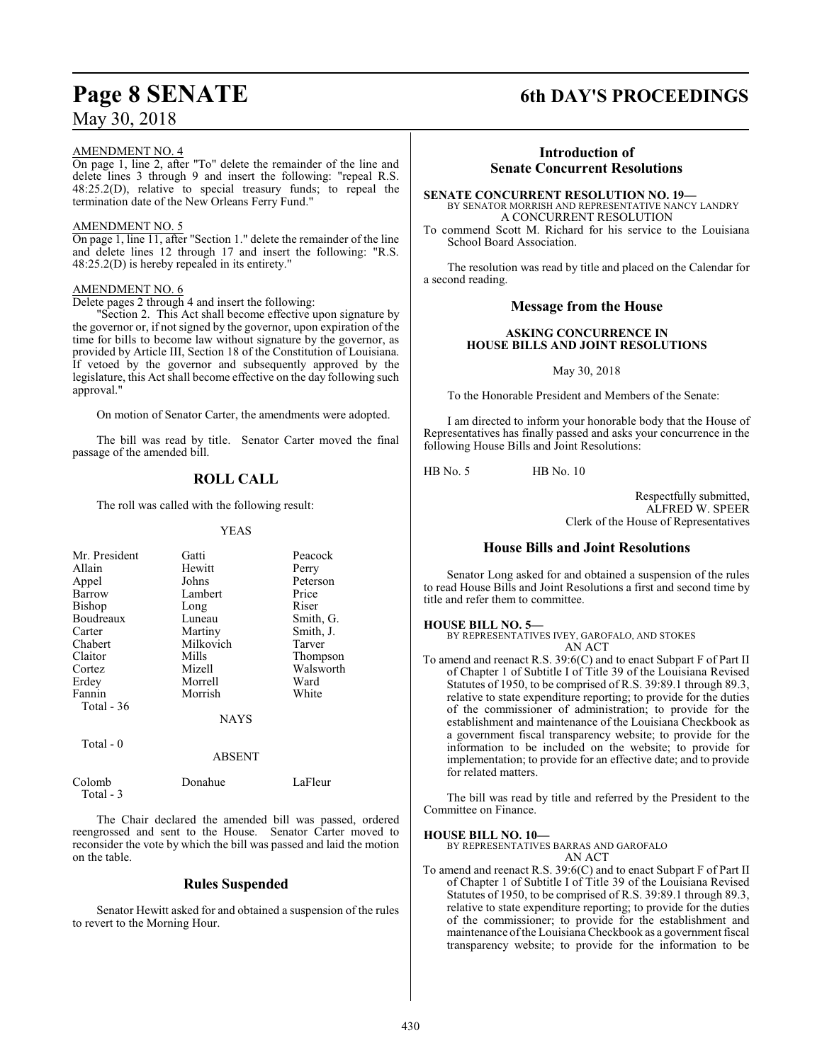## May 30, 2018

#### AMENDMENT NO. 4

On page 1, line 2, after "To" delete the remainder of the line and delete lines 3 through 9 and insert the following: "repeal R.S. 48:25.2(D), relative to special treasury funds; to repeal the termination date of the New Orleans Ferry Fund."

#### AMENDMENT NO. 5

On page 1, line 11, after "Section 1." delete the remainder of the line and delete lines 12 through 17 and insert the following: "R.S. 48:25.2(D) is hereby repealed in its entirety."

#### AMENDMENT NO. 6

Delete pages 2 through 4 and insert the following:

"Section 2. This Act shall become effective upon signature by the governor or, if not signed by the governor, upon expiration of the time for bills to become law without signature by the governor, as provided by Article III, Section 18 of the Constitution of Louisiana. If vetoed by the governor and subsequently approved by the legislature, this Act shall become effective on the day following such approval."

On motion of Senator Carter, the amendments were adopted.

The bill was read by title. Senator Carter moved the final passage of the amended bill.

## **ROLL CALL**

The roll was called with the following result:

#### YEAS

| Mr. President | Gatti         | Peacock   |  |
|---------------|---------------|-----------|--|
| Allain        | Hewitt        | Perry     |  |
| Appel         | Johns         | Peterson  |  |
| Barrow        | Lambert       | Price     |  |
| <b>Bishop</b> | Long          | Riser     |  |
| Boudreaux     | Luneau        | Smith, G. |  |
| Carter        | Martiny       | Smith, J. |  |
| Chabert       | Milkovich     | Tarver    |  |
| Claitor       | Mills         | Thompson  |  |
| Cortez        | Mizell        | Walsworth |  |
| Erdey         | Morrell       | Ward      |  |
| Fannin        | Morrish       | White     |  |
| Total - 36    |               |           |  |
|               | <b>NAYS</b>   |           |  |
| Total $-0$    |               |           |  |
|               | <b>ABSENT</b> |           |  |

| Colomb    | Donahue | LaFleur |
|-----------|---------|---------|
| Total - 3 |         |         |
|           |         |         |

The Chair declared the amended bill was passed, ordered reengrossed and sent to the House. Senator Carter moved to reconsider the vote by which the bill was passed and laid the motion on the table.

#### **Rules Suspended**

Senator Hewitt asked for and obtained a suspension of the rules to revert to the Morning Hour.

## **Page 8 SENATE 6th DAY'S PROCEEDINGS**

## **Introduction of Senate Concurrent Resolutions**

**SENATE CONCURRENT RESOLUTION NO. 19—** BY SENATOR MORRISH AND REPRESENTATIVE NANCY LANDRY A CONCURRENT RESOLUTION

To commend Scott M. Richard for his service to the Louisiana School Board Association.

The resolution was read by title and placed on the Calendar for a second reading.

#### **Message from the House**

#### **ASKING CONCURRENCE IN HOUSE BILLS AND JOINT RESOLUTIONS**

May 30, 2018

To the Honorable President and Members of the Senate:

I am directed to inform your honorable body that the House of Representatives has finally passed and asks your concurrence in the following House Bills and Joint Resolutions:

HB No. 5 HB No. 10

Respectfully submitted, ALFRED W. SPEER Clerk of the House of Representatives

#### **House Bills and Joint Resolutions**

Senator Long asked for and obtained a suspension of the rules to read House Bills and Joint Resolutions a first and second time by title and refer them to committee.

#### **HOUSE BILL NO. 5—**

BY REPRESENTATIVES IVEY, GAROFALO, AND STOKES AN ACT

To amend and reenact R.S. 39:6(C) and to enact Subpart F of Part II of Chapter 1 of Subtitle I of Title 39 of the Louisiana Revised Statutes of 1950, to be comprised of R.S. 39:89.1 through 89.3, relative to state expenditure reporting; to provide for the duties of the commissioner of administration; to provide for the establishment and maintenance of the Louisiana Checkbook as a government fiscal transparency website; to provide for the information to be included on the website; to provide for implementation; to provide for an effective date; and to provide for related matters.

The bill was read by title and referred by the President to the Committee on Finance.

#### **HOUSE BILL NO. 10—**

BY REPRESENTATIVES BARRAS AND GAROFALO AN ACT

To amend and reenact R.S. 39:6(C) and to enact Subpart F of Part II of Chapter 1 of Subtitle I of Title 39 of the Louisiana Revised Statutes of 1950, to be comprised of R.S. 39:89.1 through 89.3, relative to state expenditure reporting; to provide for the duties of the commissioner; to provide for the establishment and maintenance ofthe Louisiana Checkbook as a government fiscal transparency website; to provide for the information to be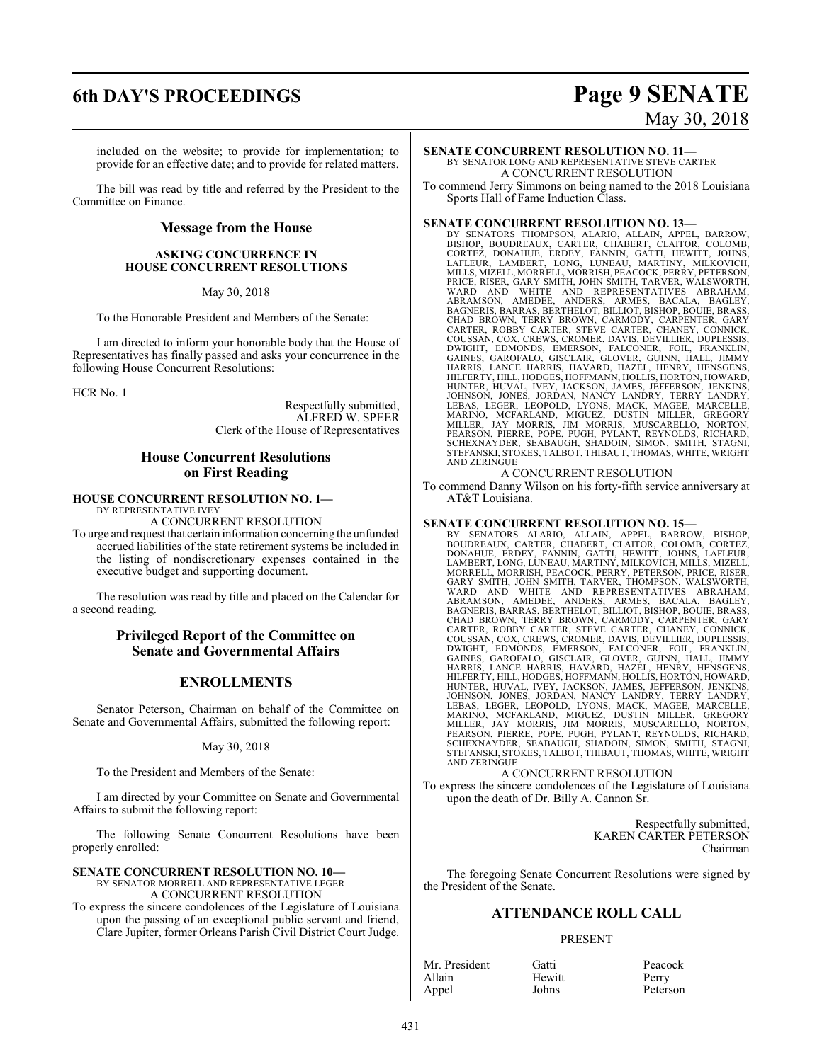# **6th DAY'S PROCEEDINGS Page 9 SENATE**

# May 30, 2018

included on the website; to provide for implementation; to provide for an effective date; and to provide for related matters.

The bill was read by title and referred by the President to the Committee on Finance.

#### **Message from the House**

#### **ASKING CONCURRENCE IN HOUSE CONCURRENT RESOLUTIONS**

May 30, 2018

To the Honorable President and Members of the Senate:

I am directed to inform your honorable body that the House of Representatives has finally passed and asks your concurrence in the following House Concurrent Resolutions:

HCR No. 1

Respectfully submitted, ALFRED W. SPEER Clerk of the House of Representatives

### **House Concurrent Resolutions on First Reading**

#### **HOUSE CONCURRENT RESOLUTION NO. 1—**

BY REPRESENTATIVE IVEY

A CONCURRENT RESOLUTION To urge and request that certain information concerning the unfunded accrued liabilities of the state retirement systems be included in the listing of nondiscretionary expenses contained in the executive budget and supporting document.

The resolution was read by title and placed on the Calendar for a second reading.

#### **Privileged Report of the Committee on Senate and Governmental Affairs**

### **ENROLLMENTS**

Senator Peterson, Chairman on behalf of the Committee on Senate and Governmental Affairs, submitted the following report:

May 30, 2018

To the President and Members of the Senate:

I am directed by your Committee on Senate and Governmental Affairs to submit the following report:

The following Senate Concurrent Resolutions have been properly enrolled:

#### **SENATE CONCURRENT RESOLUTION NO. 10—**

BY SENATOR MORRELL AND REPRESENTATIVE LEGER A CONCURRENT RESOLUTION

To express the sincere condolences of the Legislature of Louisiana upon the passing of an exceptional public servant and friend, Clare Jupiter, former Orleans Parish Civil District Court Judge.

**SENATE CONCURRENT RESOLUTION NO. 11—** BY SENATOR LONG AND REPRESENTATIVE STEVE CARTER A CONCURRENT RESOLUTION

To commend Jerry Simmons on being named to the 2018 Louisiana Sports Hall of Fame Induction Class.

#### **SENATE CONCURRENT RESOLUTION NO. 13—**

BY SENATORS THOMPSON, ALARIO, ALLAIN, APPEL, BARROW,<br>BISHOP, BOUDREAUX, CARTER, CHABERT, CLAITOR, COLOMB,<br>CORTEZ, DONAHUE, ERDEY, FANNIN, GATTI, HEWITT, JOHNS,<br>LAFLEUR, LAMBERT, LONG, LUNEAU, MARTINY, MILKOVICH,<br>MILLS,MIZE PRICE, RISER, GARY SMITH, JOHN SMITH, TARVER, WALSWORTH,<br>WARD AND WHITE AND REPRESENTATIVES ABRAHAM,<br>ABRAMSON, AMEDEE, ANDERS, ARMES, BACALA, BAGLEY,<br>BAGNERIS, BARRAS, BERTHELOT, BILLIOT, BISHOP, BOUIE, BRASS,<br>CHAD BROWN, COUSSAN, COX, CREWS, CROMER, DAVIS, DEVILLIER, DUPLESSIS, DWIGHT, EDMONDS, EMERSON, FALCONER, FOIL, FRANKLIN, GAINES, GAROFALO, GISCLAIR, GLOVER, GUINN, HALL, JIMMY<br>HARRIS, LANCE HARRIS, HAVARD, HAZEL, HENRY, HENSGENS,<br>HILFERTY,HILL,HODGES,HOFFMANN,HOLLIS,HORTON,HOWARD,<br>HUNTER,HUVAL, IVEY, JACKSON, JAMES, JEFFERSON, JENKINS,<br>JOHNS STEFANSKI, STOKES, TALBOT, THIBAUT, THOMAS, WHITE, WRIGHT AND ZERINGUE

#### A CONCURRENT RESOLUTION

To commend Danny Wilson on his forty-fifth service anniversary at AT&T Louisiana.

#### **SENATE CONCURRENT RESOLUTION NO. 15—**

BY SENATORS ALARIO, ALLAIN, APPEL, BARROW, BISHOP,<br>BOUDREAUX, CARTER, CHABERT, CLAITOR, COLOMB, CORTEZ,<br>DONAHUE, ERDEY, FANNIN, GATTI, HEWITT, JOHNS, LAFLEUR,<br>LAMBERT,LONG,LUNEAU,MARTINY,MILKOVICH,MILLS,MIZELL, MORRELL, MORRISH, PEACOCK, PERRY, PETERSON, PRICE, RISER,<br>GARY SMITH, JOHN SMITH, TARVER, THOMPSON, WALSWORTH,<br>WARD AND WHITE AND REPRESENTATIVES ABRAHAM,<br>ABRAMSON, AMEDEE, ANDERS, ARMES, BACALA, BAGLEY,<br>BAGNERIS, BARRAS, COUSSAN, COX, CREWS, CROMER, DAVIS, DEVILLIER, DUPLESSIS,<br>DWIGHT, EDMONDS, EMERSON, FALCONER, FOIL, FRANKLIN,<br>GAINES, GAROFALO, GISCLAIR, GLOVER, GUINN, HALL, JIMMY<br>HARRIS, LANCE HARRIS, HAVARD, HUNTER, HUVAL, IVEY, JACKSON, JAMES, JEFFERSON, JENKINS,<br>JOHNSON, JONES, JORDAN, NANCY LANDRY, TERRY LANDRY,<br>LEBAS, LEGER, LEOPOLD, LYONS, MACK, MAGEE, MARCELLE,<br>MARINO, MCFARLAND, MIGUEZ, DUSTIN MILLER, GREGORY<br>MILLER, JA

#### A CONCURRENT RESOLUTION

To express the sincere condolences of the Legislature of Louisiana upon the death of Dr. Billy A. Cannon Sr.

> Respectfully submitted, KAREN CARTER PETERSON Chairman

The foregoing Senate Concurrent Resolutions were signed by the President of the Senate.

#### **ATTENDANCE ROLL CALL**

#### PRESENT

Hewitt

Appel Johns Peterson

Mr. President Gatti Peacock<br>Allain Hewitt Perry